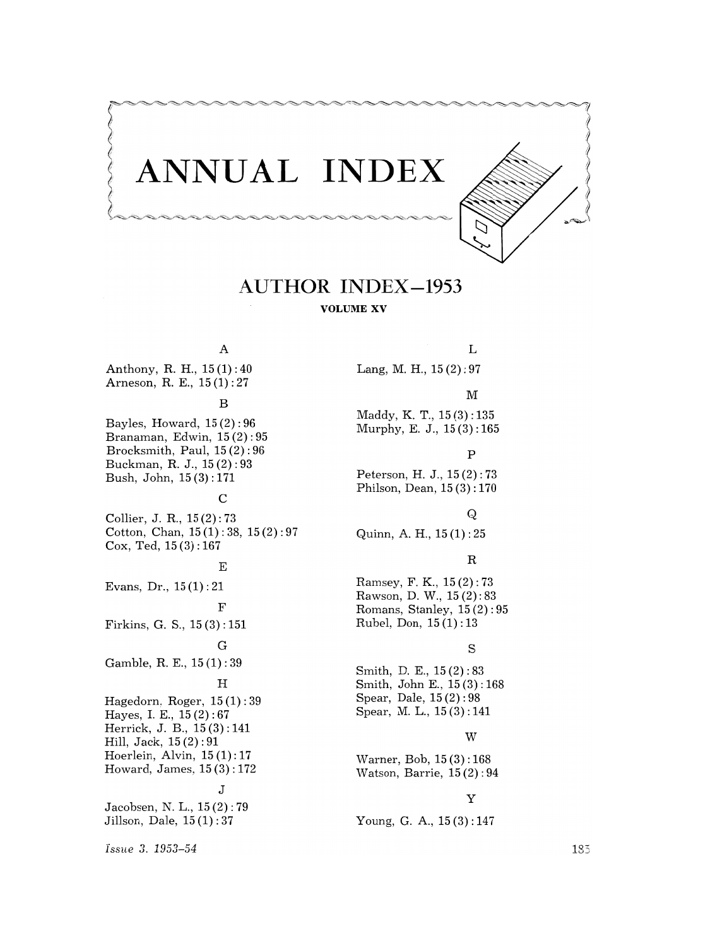

# **AUTHOR INDEX-1953**

**VOLUME XV** 

# A

Anthony, R. H.,  $15(1):40$ Arneson, R. E., 15(1): 27

### B

Bayles, Howard, 15 (2): 96 Branaman, Edwin, 15 (2) : 95 Brocksmith, Paul, 15 (2): 96 Buckman, R. J., 15 (2) : 93 Bush, John, 15 (3): 171

# C

Collier, J. R, 15 (2): 73 Cotton, Chan,  $15(1): 38, 15(2): 97$ Cox, Ted, 15 (3) : 167

### E

Evans, Dr., 15 (1) : 21 F Firkins, G. S., 15 (3) : 151 G Gamble, R. E., 15 (1) : 39  $_{\rm H}$ Hagedorn, Roger, 15 (1) : 39 Hayes, I. E., 15 (2) : 67 Herrick, J. B., 15 (3) : 141 Hill, Jack, 15 (2) : 91 Hoerlein, Alvin, 15 (1): 17 Howard, James, 15 (3): 172 J Jacobsen, N. L., 15 (2): 79

Jillson, Dale, 15 (1) : 37

M Maddy, K. T., 15 (3): 135 Murphy, E. J., 15 (3) : 165 p Peterson, H. J., 15 (2) : 73 Philson, Dean, 15 (3) : 170 Q Quinn, A. H., 15 (1) : 25 R Ramsey, F. K., 15 (2) : 73 Rawson, D. W., 15 (2): 83 Romans, Stanley,  $15(2):95$ Rubel, Don, 15 (1): 13 s

Lang, M. H., 15 (2) : 97

Smith, D. E., 15 (2) : 83 Smith, John E., 15 (3): 168 Spear, Dale, 15 (2) : 98 Spear, M. L., 15 (3) : 141

## W

L

Warner, Bob, 15 (3) : 168 Watson, Barrie, 15 (2): 94

# Y

Young, G. A., 15(3):147

*issue* 3. 1953-54